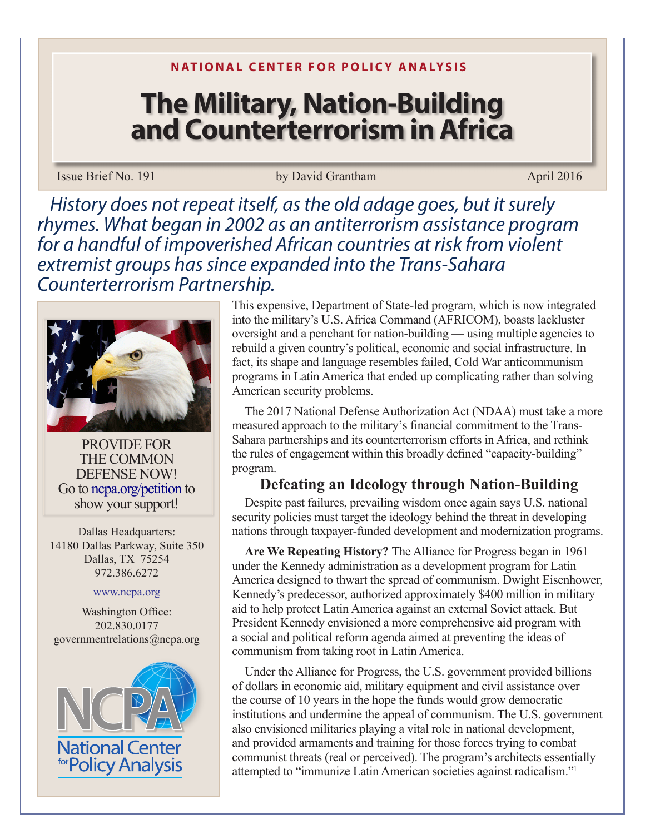# **The Military, Nation-Building and Counterterrorism in Africa**

### Issue Brief No. 191 by David Grantham by David Grantham April 2016

*History does not repeat itself, as the old adage goes, but it surely rhymes. What began in 2002 as an antiterrorism assistance program for a handful of impoverished African countries at risk from violent extremist groups has since expanded into the Trans-Sahara Counterterrorism Partnership.*



PROVIDE FOR THE COMMON DEFENSE NOW! Go to ncpa.org/petition to show your support!

Dallas Headquarters: 14180 Dallas Parkway, Suite 350 Dallas, TX 75254 972.386.6272

#### www.ncpa.org

Washington Office: 202.830.0177 governmentrelations@ncpa.org



This expensive, Department of State-led program, which is now integrated into the military's U.S. Africa Command (AFRICOM), boasts lackluster oversight and a penchant for nation-building — using multiple agencies to rebuild a given country's political, economic and social infrastructure. In fact, its shape and language resembles failed, Cold War anticommunism programs in Latin America that ended up complicating rather than solving American security problems.

The 2017 National Defense Authorization Act (NDAA) must take a more measured approach to the military's financial commitment to the Trans-Sahara partnerships and its counterterrorism efforts in Africa, and rethink the rules of engagement within this broadly defined "capacity-building" program.

# **Defeating an Ideology through Nation-Building**

Despite past failures, prevailing wisdom once again says U.S. national security policies must target the ideology behind the threat in developing nations through taxpayer-funded development and modernization programs.

**Are We Repeating History?** The Alliance for Progress began in 1961 under the Kennedy administration as a development program for Latin America designed to thwart the spread of communism. Dwight Eisenhower, Kennedy's predecessor, authorized approximately \$400 million in military aid to help protect Latin America against an external Soviet attack. But President Kennedy envisioned a more comprehensive aid program with a social and political reform agenda aimed at preventing the ideas of communism from taking root in Latin America.

Under the Alliance for Progress, the U.S. government provided billions of dollars in economic aid, military equipment and civil assistance over the course of 10 years in the hope the funds would grow democratic institutions and undermine the appeal of communism. The U.S. government also envisioned militaries playing a vital role in national development, and provided armaments and training for those forces trying to combat communist threats (real or perceived). The program's architects essentially attempted to "immunize Latin American societies against radicalism."<sup>1</sup>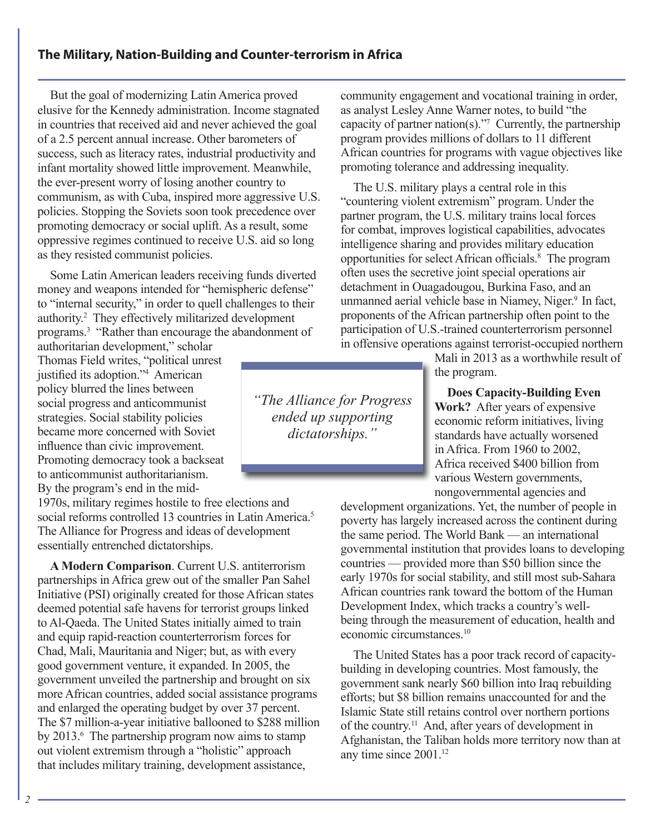# **The Military, Nation-Building and Counter-terrorism in Africa**

But the goal of modernizing Latin America proved elusive for the Kennedy administration. Income stagnated in countries that received aid and never achieved the goal of a 2.5 percent annual increase. Other barometers of success, such as literacy rates, industrial productivity and infant mortality showed little improvement. Meanwhile, the ever-present worry of losing another country to communism, as with Cuba, inspired more aggressive U.S. policies. Stopping the Soviets soon took precedence over promoting democracy or social uplift. As a result, some oppressive regimes continued to receive U.S. aid so long as they resisted communist policies.

Some Latin American leaders receiving funds diverted money and weapons intended for "hemispheric defense" to "internal security," in order to quell challenges to their authority.2 They effectively militarized development programs.<sup>3</sup> "Rather than encourage the abandonment of

authoritarian development," scholar Thomas Field writes, "political unrest justified its adoption."<sup>4</sup> American policy blurred the lines between social progress and anticommunist strategies. Social stability policies became more concerned with Soviet influence than civic improvement. Promoting democracy took a backseat to anticommunist authoritarianism. By the program's end in the mid-

1970s, military regimes hostile to free elections and social reforms controlled 13 countries in Latin America.<sup>5</sup> The Alliance for Progress and ideas of development essentially entrenched dictatorships.

**A Modern Comparison**. Current U.S. antiterrorism partnerships in Africa grew out of the smaller Pan Sahel Initiative (PSI) originally created for those African states deemed potential safe havens for terrorist groups linked to Al-Qaeda. The United States initially aimed to train and equip rapid-reaction counterterrorism forces for Chad, Mali, Mauritania and Niger; but, as with every good government venture, it expanded. In 2005, the government unveiled the partnership and brought on six more African countries, added social assistance programs and enlarged the operating budget by over 37 percent. The \$7 million-a-year initiative ballooned to \$288 million by 2013.<sup>6</sup> The partnership program now aims to stamp out violent extremism through a "holistic" approach that includes military training, development assistance,

community engagement and vocational training in order, as analyst Lesley Anne Warner notes, to build "the capacity of partner nation(s)."<sup>7</sup> Currently, the partnership program provides millions of dollars to 11 different African countries for programs with vague objectives like promoting tolerance and addressing inequality.

The U.S. military plays a central role in this "countering violent extremism" program. Under the partner program, the U.S. military trains local forces for combat, improves logistical capabilities, advocates intelligence sharing and provides military education opportunities for select African officials.<sup>8</sup> The program often uses the secretive joint special operations air detachment in Ouagadougou, Burkina Faso, and an unmanned aerial vehicle base in Niamey, Niger.<sup>9</sup> In fact, proponents of the African partnership often point to the participation of U.S.-trained counterterrorism personnel in offensive operations against terrorist-occupied northern

> Mali in 2013 as a worthwhile result of the program.

**Does Capacity-Building Even Work?** After years of expensive economic reform initiatives, living standards have actually worsened in Africa. From 1960 to 2002, Africa received \$400 billion from various Western governments, nongovernmental agencies and

development organizations. Yet, the number of people in poverty has largely increased across the continent during the same period. The World Bank — an international governmental institution that provides loans to developing countries ‒‒ provided more than \$50 billion since the early 1970s for social stability, and still most sub-Sahara African countries rank toward the bottom of the Human Development Index, which tracks a country's wellbeing through the measurement of education, health and economic circumstances.10

The United States has a poor track record of capacitybuilding in developing countries. Most famously, the government sank nearly \$60 billion into Iraq rebuilding efforts; but \$8 billion remains unaccounted for and the Islamic State still retains control over northern portions of the country.11 And, after years of development in Afghanistan, the Taliban holds more territory now than at any time since 2001.12

ended up supporting *"The Alliance for Progress* 

*dictatorships."*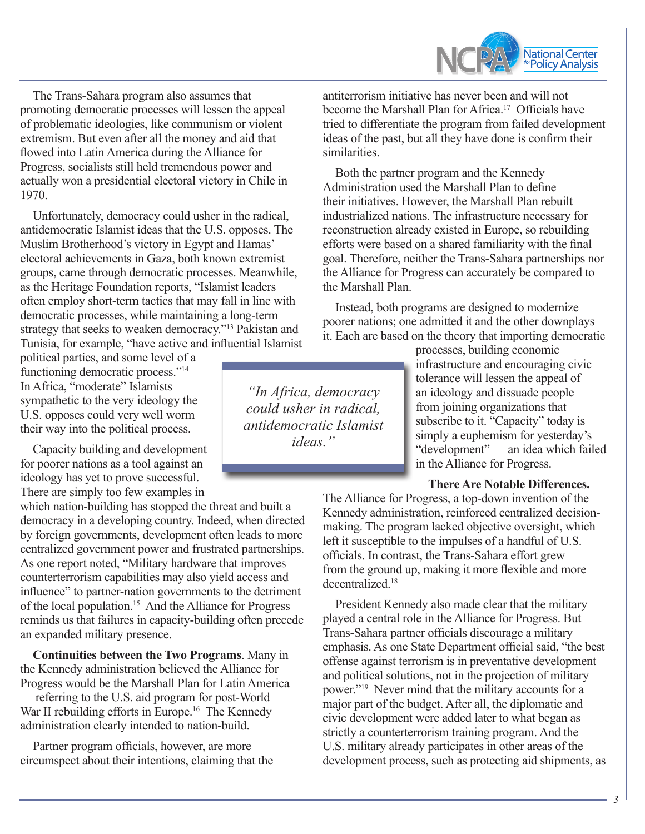

The Trans-Sahara program also assumes that promoting democratic processes will lessen the appeal of problematic ideologies, like communism or violent extremism. But even after all the money and aid that flowed into Latin America during the Alliance for Progress, socialists still held tremendous power and actually won a presidential electoral victory in Chile in 1970.

Unfortunately, democracy could usher in the radical, antidemocratic Islamist ideas that the U.S. opposes. The Muslim Brotherhood's victory in Egypt and Hamas' electoral achievements in Gaza, both known extremist groups, came through democratic processes. Meanwhile, as the Heritage Foundation reports, "Islamist leaders often employ short-term tactics that may fall in line with democratic processes, while maintaining a long-term strategy that seeks to weaken democracy."13 Pakistan and Tunisia, for example, "have active and influential Islamist

political parties, and some level of a functioning democratic process."<sup>14</sup> In Africa, "moderate" Islamists sympathetic to the very ideology the U.S. opposes could very well worm their way into the political process.

Capacity building and development for poorer nations as a tool against an ideology has yet to prove successful. There are simply too few examples in

which nation-building has stopped the threat and built a democracy in a developing country. Indeed, when directed by foreign governments, development often leads to more centralized government power and frustrated partnerships. As one report noted, "Military hardware that improves counterterrorism capabilities may also yield access and influence" to partner-nation governments to the detriment of the local population.15 And the Alliance for Progress reminds us that failures in capacity-building often precede an expanded military presence.

**Continuities between the Two Programs**. Many in the Kennedy administration believed the Alliance for Progress would be the Marshall Plan for Latin America — referring to the U.S. aid program for post-World War II rebuilding efforts in Europe.<sup>16</sup> The Kennedy administration clearly intended to nation-build.

Partner program officials, however, are more circumspect about their intentions, claiming that the antiterrorism initiative has never been and will not become the Marshall Plan for Africa.17 Officials have tried to differentiate the program from failed development ideas of the past, but all they have done is confirm their similarities.

Both the partner program and the Kennedy Administration used the Marshall Plan to define their initiatives. However, the Marshall Plan rebuilt industrialized nations. The infrastructure necessary for reconstruction already existed in Europe, so rebuilding efforts were based on a shared familiarity with the final goal. Therefore, neither the Trans-Sahara partnerships nor the Alliance for Progress can accurately be compared to the Marshall Plan.

Instead, both programs are designed to modernize poorer nations; one admitted it and the other downplays it. Each are based on the theory that importing democratic

> processes, building economic infrastructure and encouraging civic tolerance will lessen the appeal of an ideology and dissuade people from joining organizations that subscribe to it. "Capacity" today is simply a euphemism for yesterday's "development" — an idea which failed in the Alliance for Progress.

#### **There Are Notable Differences.**

The Alliance for Progress, a top-down invention of the Kennedy administration, reinforced centralized decisionmaking. The program lacked objective oversight, which left it susceptible to the impulses of a handful of U.S. officials. In contrast, the Trans-Sahara effort grew from the ground up, making it more flexible and more decentralized.18

President Kennedy also made clear that the military played a central role in the Alliance for Progress. But Trans-Sahara partner officials discourage a military emphasis. As one State Department official said, "the best offense against terrorism is in preventative development and political solutions, not in the projection of military power."19 Never mind that the military accounts for a major part of the budget. After all, the diplomatic and civic development were added later to what began as strictly a counterterrorism training program. And the U.S. military already participates in other areas of the development process, such as protecting aid shipments, as

Insert callout here. *antidemocratic Islamist "In Africa, democracy could usher in radical, ideas."*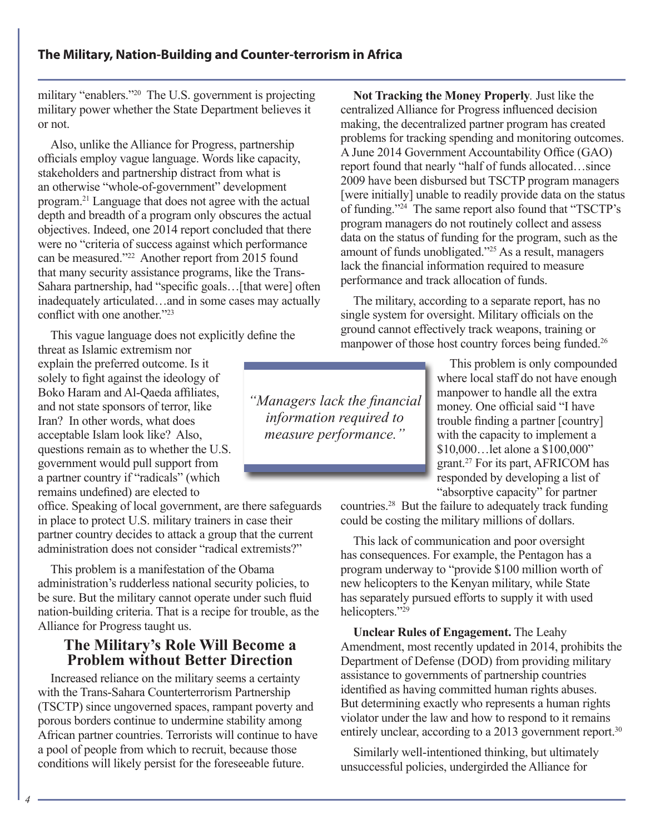military "enablers."20 The U.S. government is projecting military power whether the State Department believes it or not.

Also, unlike the Alliance for Progress, partnership officials employ vague language. Words like capacity, stakeholders and partnership distract from what is an otherwise "whole-of-government" development program.21 Language that does not agree with the actual depth and breadth of a program only obscures the actual objectives. Indeed, one 2014 report concluded that there were no "criteria of success against which performance can be measured."22 Another report from 2015 found that many security assistance programs, like the Trans-Sahara partnership, had "specific goals... [that were] often inadequately articulated…and in some cases may actually conflict with one another."<sup>23</sup>

This vague language does not explicitly define the

threat as Islamic extremism nor explain the preferred outcome. Is it solely to fight against the ideology of Boko Haram and Al-Qaeda affiliates, and not state sponsors of terror, like Iran? In other words, what does acceptable Islam look like? Also, questions remain as to whether the U.S. government would pull support from a partner country if "radicals" (which remains undefined) are elected to

office. Speaking of local government, are there safeguards in place to protect U.S. military trainers in case their partner country decides to attack a group that the current administration does not consider "radical extremists?"

This problem is a manifestation of the Obama administration's rudderless national security policies, to be sure. But the military cannot operate under such fluid nation-building criteria. That is a recipe for trouble, as the Alliance for Progress taught us.

# **The Military's Role Will Become a Problem without Better Direction**

Increased reliance on the military seems a certainty with the Trans-Sahara Counterterrorism Partnership (TSCTP) since ungoverned spaces, rampant poverty and porous borders continue to undermine stability among African partner countries. Terrorists will continue to have a pool of people from which to recruit, because those conditions will likely persist for the foreseeable future.

**Not Tracking the Money Properly***.* Just like the centralized Alliance for Progress influenced decision making, the decentralized partner program has created problems for tracking spending and monitoring outcomes. A June 2014 Government Accountability Office (GAO) report found that nearly "half of funds allocated…since 2009 have been disbursed but TSCTP program managers [were initially] unable to readily provide data on the status of funding."<sup>24</sup> The same report also found that "TSCTP's program managers do not routinely collect and assess data on the status of funding for the program, such as the amount of funds unobligated."25 As a result, managers lack the financial information required to measure performance and track allocation of funds.

The military, according to a separate report, has no single system for oversight. Military officials on the ground cannot effectively track weapons, training or manpower of those host country forces being funded.<sup>26</sup>

> This problem is only compounded where local staff do not have enough manpower to handle all the extra money. One official said "I have trouble finding a partner [country] with the capacity to implement a \$10,000…let alone a \$100,000" grant.27 For its part, AFRICOM has responded by developing a list of "absorptive capacity" for partner

countries.28 But the failure to adequately track funding could be costing the military millions of dollars.

This lack of communication and poor oversight has consequences. For example, the Pentagon has a program underway to "provide \$100 million worth of new helicopters to the Kenyan military, while State has separately pursued efforts to supply it with used helicopters."<sup>29</sup>

**Unclear Rules of Engagement.** The Leahy Amendment, most recently updated in 2014, prohibits the Department of Defense (DOD) from providing military assistance to governments of partnership countries identified as having committed human rights abuses. But determining exactly who represents a human rights violator under the law and how to respond to it remains entirely unclear, according to a 2013 government report.<sup>30</sup>

Similarly well-intentioned thinking, but ultimately unsuccessful policies, undergirded the Alliance for

information required to *"Managers lack the financial measure performance."*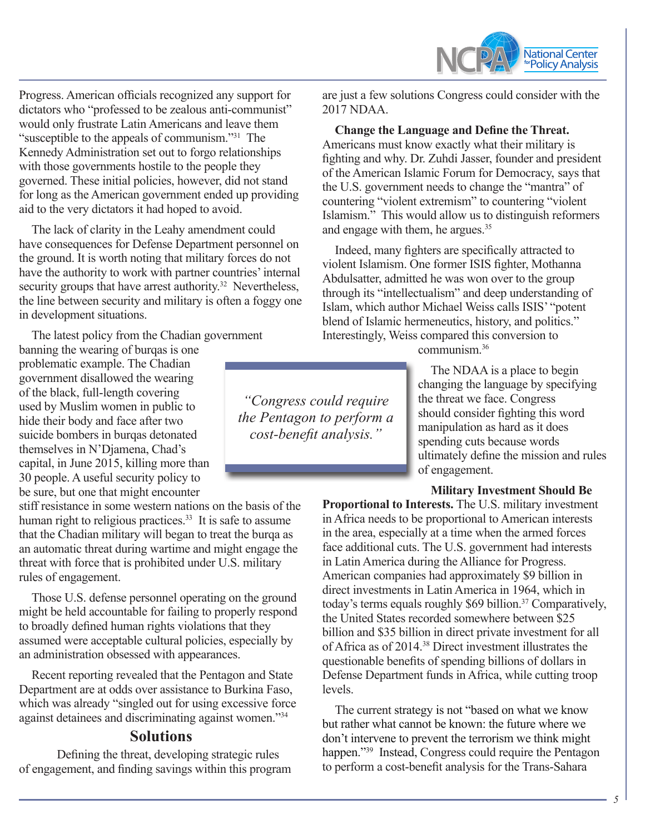

Progress. American officials recognized any support for dictators who "professed to be zealous anti-communist" would only frustrate Latin Americans and leave them "susceptible to the appeals of communism."31 The Kennedy Administration set out to forgo relationships with those governments hostile to the people they governed. These initial policies, however, did not stand for long as the American government ended up providing aid to the very dictators it had hoped to avoid.

The lack of clarity in the Leahy amendment could have consequences for Defense Department personnel on the ground. It is worth noting that military forces do not have the authority to work with partner countries' internal security groups that have arrest authority.<sup>32</sup> Nevertheless, the line between security and military is often a foggy one in development situations.

The latest policy from the Chadian government

banning the wearing of burqas is one problematic example. The Chadian government disallowed the wearing of the black, full-length covering used by Muslim women in public to hide their body and face after two suicide bombers in burqas detonated themselves in N'Djamena, Chad's capital, in June 2015, killing more than 30 people. A useful security policy to be sure, but one that might encounter

stiff resistance in some western nations on the basis of the human right to religious practices.<sup>33</sup> It is safe to assume that the Chadian military will began to treat the burqa as an automatic threat during wartime and might engage the threat with force that is prohibited under U.S. military rules of engagement.

Those U.S. defense personnel operating on the ground might be held accountable for failing to properly respond to broadly defined human rights violations that they assumed were acceptable cultural policies, especially by an administration obsessed with appearances.

Recent reporting revealed that the Pentagon and State Department are at odds over assistance to Burkina Faso, which was already "singled out for using excessive force against detainees and discriminating against women."34

## **Solutions**

Defining the threat, developing strategic rules of engagement, and finding savings within this program are just a few solutions Congress could consider with the 2017 NDAA.

**Change the Language and Define the Threat.**  Americans must know exactly what their military is fighting and why. Dr. Zuhdi Jasser, founder and president of the American Islamic Forum for Democracy, says that the U.S. government needs to change the "mantra" of countering "violent extremism" to countering "violent Islamism." This would allow us to distinguish reformers and engage with them, he argues.<sup>35</sup>

Indeed, many fighters are specifically attracted to violent Islamism. One former ISIS fighter, Mothanna Abdulsatter, admitted he was won over to the group through its "intellectualism" and deep understanding of Islam, which author Michael Weiss calls ISIS' "potent blend of Islamic hermeneutics, history, and politics." Interestingly, Weiss compared this conversion to

communism.36

The NDAA is a place to begin changing the language by specifying the threat we face. Congress should consider fighting this word manipulation as hard as it does spending cuts because words ultimately define the mission and rules of engagement.

#### **Military Investment Should Be**

**Proportional to Interests.** The U.S. military investment in Africa needs to be proportional to American interests in the area, especially at a time when the armed forces face additional cuts. The U.S. government had interests in Latin America during the Alliance for Progress. American companies had approximately \$9 billion in direct investments in Latin America in 1964, which in today's terms equals roughly \$69 billion.<sup>37</sup> Comparatively, the United States recorded somewhere between \$25 billion and \$35 billion in direct private investment for all of Africa as of 2014.38 Direct investment illustrates the questionable benefits of spending billions of dollars in Defense Department funds in Africa, while cutting troop levels.

The current strategy is not "based on what we know but rather what cannot be known: the future where we don't intervene to prevent the terrorism we think might happen."<sup>39</sup> Instead, Congress could require the Pentagon to perform a cost-benefit analysis for the Trans-Sahara

*the Pentagon to perform a "Congress could require cost-benefit analysis."*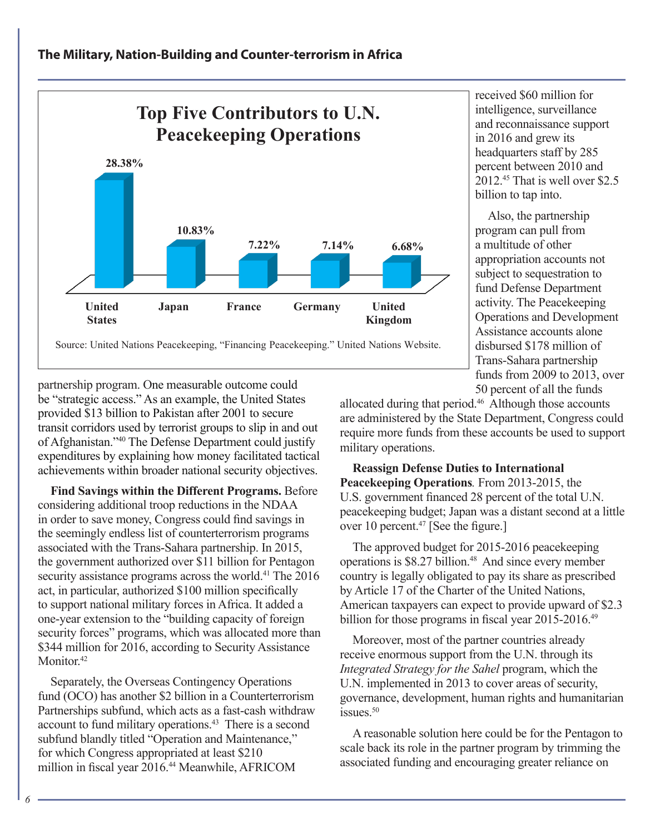# **The Military, Nation-Building and Counter-terrorism in Africa**



received \$60 million for intelligence, surveillance and reconnaissance support in 2016 and grew its headquarters staff by 285 percent between 2010 and 2012.45 That is well over \$2.5 billion to tap into.

Also, the partnership program can pull from a multitude of other appropriation accounts not subject to sequestration to fund Defense Department activity. The Peacekeeping Operations and Development Assistance accounts alone disbursed \$178 million of Trans-Sahara partnership funds from 2009 to 2013, over 50 percent of all the funds

partnership program. One measurable outcome could be "strategic access." As an example, the United States provided \$13 billion to Pakistan after 2001 to secure transit corridors used by terrorist groups to slip in and out of Afghanistan."40 The Defense Department could justify expenditures by explaining how money facilitated tactical achievements within broader national security objectives.

**Find Savings within the Different Programs.** Before considering additional troop reductions in the NDAA in order to save money, Congress could find savings in the seemingly endless list of counterterrorism programs associated with the Trans-Sahara partnership. In 2015, the government authorized over \$11 billion for Pentagon security assistance programs across the world.<sup>41</sup> The 2016 act, in particular, authorized \$100 million specifically to support national military forces in Africa. It added a one-year extension to the "building capacity of foreign security forces" programs, which was allocated more than \$344 million for 2016, according to Security Assistance Monitor.<sup>42</sup>

Separately, the Overseas Contingency Operations fund (OCO) has another \$2 billion in a Counterterrorism Partnerships subfund, which acts as a fast-cash withdraw account to fund military operations.43 There is a second subfund blandly titled "Operation and Maintenance," for which Congress appropriated at least \$210 million in fiscal year 2016.44 Meanwhile, AFRICOM

allocated during that period.<sup>46</sup> Although those accounts are administered by the State Department, Congress could require more funds from these accounts be used to support military operations.

## **Reassign Defense Duties to International Peacekeeping Operations***.* From 2013-2015, the U.S. government financed 28 percent of the total U.N. peacekeeping budget; Japan was a distant second at a little over 10 percent.47 [See the figure.]

The approved budget for 2015-2016 peacekeeping operations is \$8.27 billion.<sup>48</sup> And since every member country is legally obligated to pay its share as prescribed by Article 17 of the Charter of the United Nations, American taxpayers can expect to provide upward of \$2.3 billion for those programs in fiscal year 2015-2016.<sup>49</sup>

Moreover, most of the partner countries already receive enormous support from the U.N. through its *Integrated Strategy for the Sahel* program, which the U.N. implemented in 2013 to cover areas of security, governance, development, human rights and humanitarian issues.<sup>50</sup>

A reasonable solution here could be for the Pentagon to scale back its role in the partner program by trimming the associated funding and encouraging greater reliance on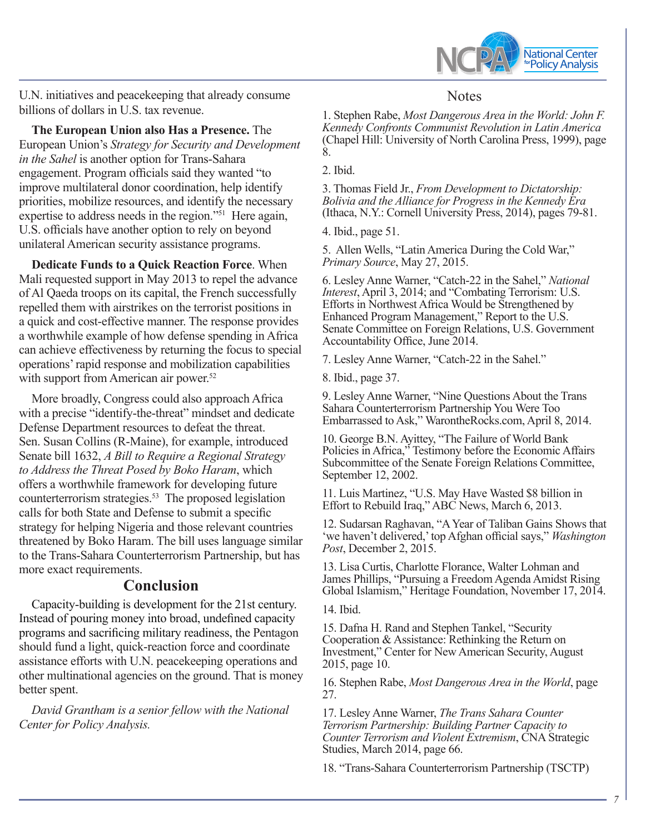

U.N. initiatives and peacekeeping that already consume billions of dollars in U.S. tax revenue.

**The European Union also Has a Presence.** The European Union's *Strategy for Security and Development in the Sahel* is another option for Trans-Sahara engagement. Program officials said they wanted "to improve multilateral donor coordination, help identify priorities, mobilize resources, and identify the necessary expertise to address needs in the region."<sup>51</sup> Here again, U.S. officials have another option to rely on beyond unilateral American security assistance programs.

**Dedicate Funds to a Quick Reaction Force**. When Mali requested support in May 2013 to repel the advance of Al Qaeda troops on its capital, the French successfully repelled them with airstrikes on the terrorist positions in a quick and cost-effective manner. The response provides a worthwhile example of how defense spending in Africa can achieve effectiveness by returning the focus to special operations' rapid response and mobilization capabilities with support from American air power.<sup>52</sup>

More broadly, Congress could also approach Africa with a precise "identify-the-threat" mindset and dedicate Defense Department resources to defeat the threat. Sen. Susan Collins (R-Maine), for example, introduced Senate bill 1632, *A Bill to Require a Regional Strategy to Address the Threat Posed by Boko Haram*, which offers a worthwhile framework for developing future counterterrorism strategies.<sup>53</sup> The proposed legislation calls for both State and Defense to submit a specific strategy for helping Nigeria and those relevant countries threatened by Boko Haram. The bill uses language similar to the Trans-Sahara Counterterrorism Partnership, but has more exact requirements.

# **Conclusion**

Capacity-building is development for the 21st century. Instead of pouring money into broad, undefined capacity programs and sacrificing military readiness, the Pentagon should fund a light, quick-reaction force and coordinate assistance efforts with U.N. peacekeeping operations and other multinational agencies on the ground. That is money better spent.

*David Grantham is a senior fellow with the National Center for Policy Analysis.*

# **Notes**

1. Stephen Rabe, *Most Dangerous Area in the World: John F. Kennedy Confronts Communist Revolution in Latin America* (Chapel Hill: University of North Carolina Press, 1999), page 8.

2. Ibid.

3. Thomas Field Jr., *From Development to Dictatorship: Bolivia and the Alliance for Progress in the Kennedy Era*  (Ithaca, N.Y.: Cornell University Press, 2014), pages 79-81.

4. Ibid., page 51.

5. Allen Wells, "Latin America During the Cold War," *Primary Source*, May 27, 2015.

6. Lesley Anne Warner, "Catch-22 in the Sahel," *National Interest*, April 3, 2014; and "Combating Terrorism: U.S. Efforts in Northwest Africa Would be Strengthened by Enhanced Program Management," Report to the U.S. Senate Committee on Foreign Relations, U.S. Government Accountability Office, June 2014.

7. Lesley Anne Warner, "Catch-22 in the Sahel."

8. Ibid., page 37.

9. Lesley Anne Warner, "Nine Questions About the Trans Sahara Counterterrorism Partnership You Were Too Embarrassed to Ask," WarontheRocks.com, April 8, 2014.

10. George B.N. Ayittey, "The Failure of World Bank Policies in Africa," Testimony before the Economic Affairs Subcommittee of the Senate Foreign Relations Committee, September 12, 2002.

11. Luis Martinez, "U.S. May Have Wasted \$8 billion in Effort to Rebuild Iraq," ABC News, March 6, 2013.

12. Sudarsan Raghavan, "A Year of Taliban Gains Shows that 'we haven't delivered,' top Afghan official says," *Washington Post*, December 2, 2015.

13. Lisa Curtis, Charlotte Florance, Walter Lohman and James Phillips, "Pursuing a Freedom Agenda Amidst Rising Global Islamism," Heritage Foundation, November 17, 2014.

14. Ibid.

15. Dafna H. Rand and Stephen Tankel, "Security Cooperation & Assistance: Rethinking the Return on Investment," Center for New American Security, August 2015, page 10.

16. Stephen Rabe, *Most Dangerous Area in the World*, page 27.

17. Lesley Anne Warner, *The Trans Sahara Counter Terrorism Partnership: Building Partner Capacity to Counter Terrorism and Violent Extremism*, CNA Strategic Studies, March 2014, page 66.

18. "Trans-Sahara Counterterrorism Partnership (TSCTP)